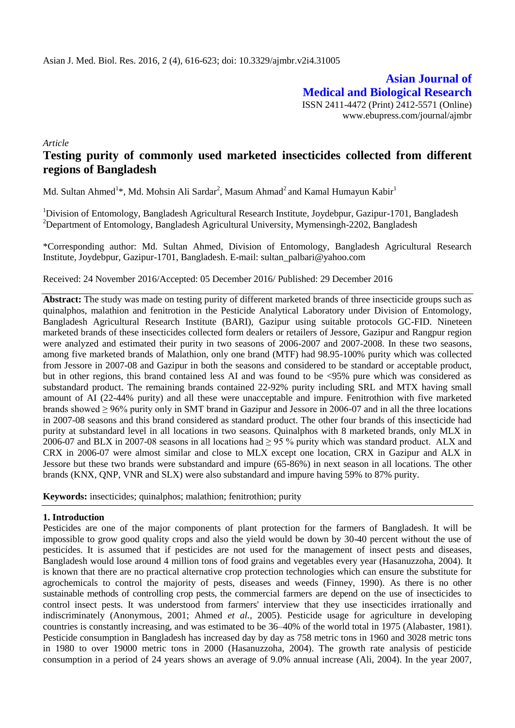**Asian Journal of Medical and Biological Research** ISSN 2411-4472 (Print) 2412-5571 (Online) www.ebupress.com/journal/ajmbr

*Article*

# **Testing purity of commonly used marketed insecticides collected from different regions of Bangladesh**

Md. Sultan Ahmed<sup>1</sup>\*, Md. Mohsin Ali Sardar<sup>2</sup>, Masum Ahmad<sup>2</sup> and Kamal Humayun Kabir<sup>1</sup>

<sup>1</sup>Division of Entomology, Bangladesh Agricultural Research Institute, Joydebpur, Gazipur-1701, Bangladesh <sup>2</sup>Department of Entomology, Bangladesh Agricultural University, Mymensingh-2202, Bangladesh

\*Corresponding author: Md. Sultan Ahmed, Division of Entomology, Bangladesh Agricultural Research Institute, Joydebpur, Gazipur-1701, Bangladesh. E-mail: sultan\_palbari@yahoo.com

Received: 24 November 2016/Accepted: 05 December 2016/ Published: 29 December 2016

**Abstract:** The study was made on testing purity of different marketed brands of three insecticide groups such as quinalphos, malathion and fenitrotion in the Pesticide Analytical Laboratory under Division of Entomology, Bangladesh Agricultural Research Institute (BARI), Gazipur using suitable protocols GC-FID. Nineteen marketed brands of these insecticides collected form dealers or retailers of Jessore, Gazipur and Rangpur region were analyzed and estimated their purity in two seasons of 2006-2007 and 2007-2008. In these two seasons, among five marketed brands of Malathion, only one brand (MTF) had 98.95-100% purity which was collected from Jessore in 2007-08 and Gazipur in both the seasons and considered to be standard or acceptable product, but in other regions, this brand contained less AI and was found to be <95% pure which was considered as substandard product. The remaining brands contained 22-92% purity including SRL and MTX having small amount of AI (22-44% purity) and all these were unacceptable and impure. Fenitrothion with five marketed brands showed ≥ 96% purity only in SMT brand in Gazipur and Jessore in 2006-07 and in all the three locations in 2007-08 seasons and this brand considered as standard product. The other four brands of this insecticide had purity at substandard level in all locations in two seasons. Quinalphos with 8 marketed brands, only MLX in 2006-07 and BLX in 2007-08 seasons in all locations had  $\geq$  95 % purity which was standard product. ALX and CRX in 2006-07 were almost similar and close to MLX except one location, CRX in Gazipur and ALX in Jessore but these two brands were substandard and impure (65-86%) in next season in all locations. The other brands (KNX, QNP, VNR and SLX) were also substandard and impure having 59% to 87% purity.

**Keywords:** insecticides; quinalphos; malathion; fenitrothion; purity

## **1. Introduction**

Pesticides are one of the major components of plant protection for the farmers of Bangladesh. It will be impossible to grow good quality crops and also the yield would be down by 30-40 percent without the use of pesticides. It is assumed that if pesticides are not used for the management of insect pests and diseases, Bangladesh would lose around 4 million tons of food grains and vegetables every year (Hasanuzzoha, 2004). It is known that there are no practical alternative crop protection technologies which can ensure the substitute for agrochemicals to control the majority of pests, diseases and weeds (Finney, 1990). As there is no other sustainable methods of controlling crop pests, the commercial farmers are depend on the use of insecticides to control insect pests. It was understood from farmers' interview that they use insecticides irrationally and indiscriminately (Anonymous, 2001; Ahmed *et al.,* 2005). Pesticide usage for agriculture in developing countries is constantly increasing, and was estimated to be 36–40% of the world total in 1975 (Alabaster, 1981). Pesticide consumption in Bangladesh has increased day by day as 758 metric tons in 1960 and 3028 metric tons in 1980 to over 19000 metric tons in 2000 (Hasanuzzoha, 2004). The growth rate analysis of pesticide consumption in a period of 24 years shows an average of 9.0% annual increase (Ali, 2004). In the year 2007,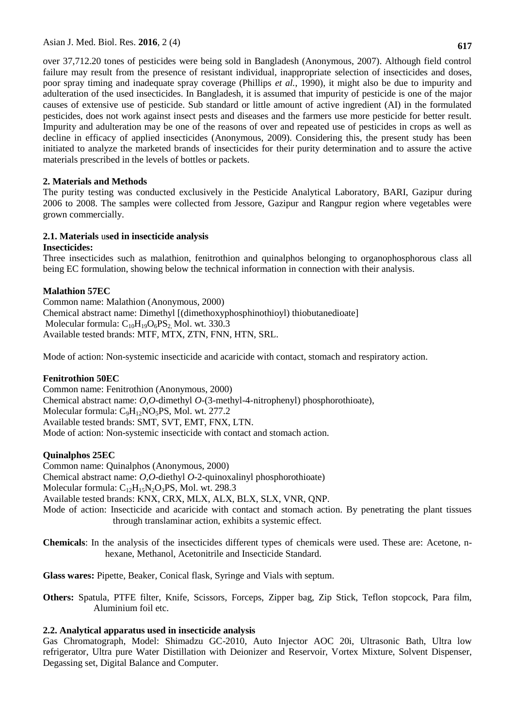over 37,712.20 tones of pesticides were being sold in Bangladesh (Anonymous, 2007). Although field control failure may result from the presence of resistant individual, inappropriate selection of insecticides and doses, poor spray timing and inadequate spray coverage (Phillips *et al.*, 1990), it might also be due to impurity and adulteration of the used insecticides. In Bangladesh, it is assumed that impurity of pesticide is one of the major causes of extensive use of pesticide. Sub standard or little amount of active ingredient (AI) in the formulated pesticides, does not work against insect pests and diseases and the farmers use more pesticide for better result. Impurity and adulteration may be one of the reasons of over and repeated use of pesticides in crops as well as decline in efficacy of applied insecticides (Anonymous, 2009). Considering this, the present study has been initiated to analyze the marketed brands of insecticides for their purity determination and to assure the active materials prescribed in the levels of bottles or packets.

## **2. Materials and Methods**

The purity testing was conducted exclusively in the Pesticide Analytical Laboratory, BARI, Gazipur during 2006 to 2008. The samples were collected from Jessore, Gazipur and Rangpur region where vegetables were grown commercially.

## **2.1. Materials** u**sed in insecticide analysis**

## **Insecticides:**

Three insecticides such as malathion, fenitrothion and quinalphos belonging to organophosphorous class all being EC formulation, showing below the technical information in connection with their analysis.

## **Malathion 57EC**

Common name: Malathion (Anonymous, 2000) Chemical abstract name: Dimethyl [(dimethoxyphosphinothioyl) thiobutanedioate] Molecular formula:  $C_{10}H_{19}O_6PS_2$  Mol. wt. 330.3 Available tested brands: MTF, MTX, ZTN, FNN, HTN, SRL.

Mode of action: Non-systemic insecticide and acaricide with contact, stomach and respiratory action.

## **Fenitrothion 50EC**

Common name: Fenitrothion (Anonymous, 2000) Chemical abstract name: *O,O*-dimethyl *O*-(3-methyl-4-nitrophenyl) phosphorothioate), Molecular formula: C<sub>9</sub>H<sub>12</sub>NO<sub>5</sub>PS, Mol. wt. 277.2 Available tested brands: SMT, SVT, EMT, FNX, LTN. Mode of action: Non-systemic insecticide with contact and stomach action.

## **Quinalphos 25EC**

Common name: Quinalphos (Anonymous, 2000)

Chemical abstract name: *O,O*-diethyl *O*-2-quinoxalinyl phosphorothioate)

Molecular formula: C<sub>12</sub>H<sub>15</sub>N<sub>2</sub>O<sub>3</sub>PS, Mol. wt. 298.3

Available tested brands: KNX, CRX, MLX, ALX, BLX, SLX, VNR, QNP.

- Mode of action: Insecticide and acaricide with contact and stomach action. By penetrating the plant tissues through translaminar action, exhibits a systemic effect.
- **Chemicals**: In the analysis of the insecticides different types of chemicals were used. These are: Acetone, nhexane, Methanol, Acetonitrile and Insecticide Standard.

**Glass wares:** Pipette, Beaker, Conical flask, Syringe and Vials with septum.

**Others:** Spatula, PTFE filter, Knife, Scissors, Forceps, Zipper bag, Zip Stick, Teflon stopcock, Para film, Aluminium foil etc.

## **2.2. Analytical apparatus used in insecticide analysis**

Gas Chromatograph, Model: Shimadzu GC-2010, Auto Injector AOC 20i, Ultrasonic Bath, Ultra low refrigerator, Ultra pure Water Distillation with Deionizer and Reservoir, Vortex Mixture, Solvent Dispenser, Degassing set, Digital Balance and Computer.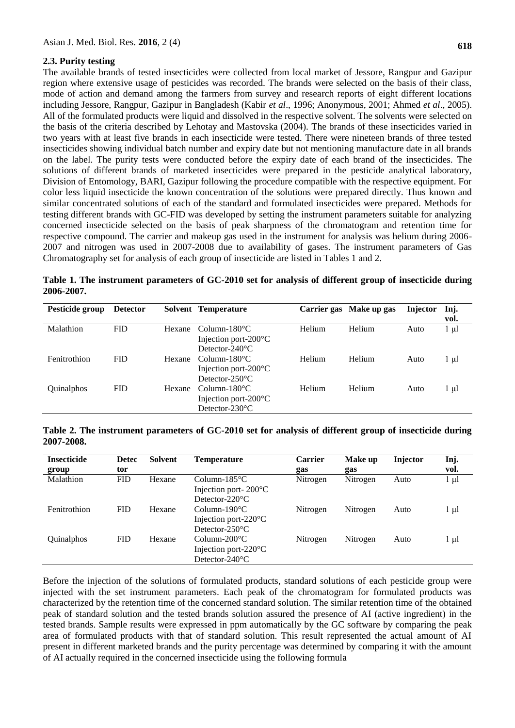#### **2.3. Purity testing**

The available brands of tested insecticides were collected from local market of Jessore, Rangpur and Gazipur region where extensive usage of pesticides was recorded. The brands were selected on the basis of their class, mode of action and demand among the farmers from survey and research reports of eight different locations including Jessore, Rangpur, Gazipur in Bangladesh (Kabir *et al*., 1996; Anonymous, 2001; Ahmed *et al*., 2005). All of the formulated products were liquid and dissolved in the respective solvent. The solvents were selected on the basis of the criteria described by Lehotay and Mastovska (2004). The brands of these insecticides varied in two years with at least five brands in each insecticide were tested. There were nineteen brands of three tested insecticides showing individual batch number and expiry date but not mentioning manufacture date in all brands on the label. The purity tests were conducted before the expiry date of each brand of the insecticides. The solutions of different brands of marketed insecticides were prepared in the pesticide analytical laboratory, Division of Entomology, BARI, Gazipur following the procedure compatible with the respective equipment. For color less liquid insecticide the known concentration of the solutions were prepared directly. Thus known and similar concentrated solutions of each of the standard and formulated insecticides were prepared. Methods for testing different brands with GC-FID was developed by setting the instrument parameters suitable for analyzing concerned insecticide selected on the basis of peak sharpness of the chromatogram and retention time for respective compound. The carrier and makeup gas used in the instrument for analysis was helium during 2006- 2007 and nitrogen was used in 2007-2008 due to availability of gases. The instrument parameters of Gas Chromatography set for analysis of each group of insecticide are listed in Tables 1 and 2.

| Pesticide group | <b>Detector</b> |        | Solvent Temperature                                                                   |        | Carrier gas Make up gas | Injector | Inj.<br>vol. |
|-----------------|-----------------|--------|---------------------------------------------------------------------------------------|--------|-------------------------|----------|--------------|
| Malathion       | <b>FID</b>      | Hexane | $Column-180^{\circ}C$<br>Injection port- $200^{\circ}$ C<br>Detector- $240^{\circ}$ C | Helium | Helium                  | Auto     | $1 \mu l$    |
| Fenitrothion    | <b>FID</b>      | Hexane | $Column-180^{\circ}C$<br>Injection port- $200^{\circ}$ C<br>Detector- $250^{\circ}$ C | Helium | Helium                  | Auto     | l µl         |
| Quinalphos      | <b>FID</b>      | Hexane | $Column-180^{\circ}C$<br>Injection port- $200^{\circ}$ C<br>Detector- $230^{\circ}$ C | Helium | Helium                  | Auto     | 1 µl         |

**Table 1. The instrument parameters of GC-2010 set for analysis of different group of insecticide during 2006-2007.**

**Table 2. The instrument parameters of GC-2010 set for analysis of different group of insecticide during 2007-2008.**

| <b>Insecticide</b><br>group | <b>Detec</b><br>tor | <b>Solvent</b> | Temperature                                                                           | <b>Carrier</b><br>gas | Make up<br>gas | <b>Injector</b> | Inj.<br>vol. |
|-----------------------------|---------------------|----------------|---------------------------------------------------------------------------------------|-----------------------|----------------|-----------------|--------------|
| Malathion                   | <b>FID</b>          | Hexane         | $Column-185$ °C<br>Injection port- $200^{\circ}$ C<br>Detector- $220^{\circ}$ C       | Nitrogen              | Nitrogen       | Auto            | 1 μl         |
| Fenitrothion                | <b>FID</b>          | Hexane         | $Column-190^{\circ}C$<br>Injection port- $220^{\circ}$ C<br>Detector- $250^{\circ}$ C | Nitrogen              | Nitrogen       | Auto            | $1 \mu l$    |
| Quinalphos                  | <b>FID</b>          | Hexane         | $Column-200°C$<br>Injection port- $220^{\circ}$ C<br>Detector- $240^{\circ}$ C        | Nitrogen              | Nitrogen       | Auto            | $1 \mu l$    |

Before the injection of the solutions of formulated products, standard solutions of each pesticide group were injected with the set instrument parameters. Each peak of the chromatogram for formulated products was characterized by the retention time of the concerned standard solution. The similar retention time of the obtained peak of standard solution and the tested brands solution assured the presence of AI (active ingredient) in the tested brands. Sample results were expressed in ppm automatically by the GC software by comparing the peak area of formulated products with that of standard solution. This result represented the actual amount of AI present in different marketed brands and the purity percentage was determined by comparing it with the amount of AI actually required in the concerned insecticide using the following formula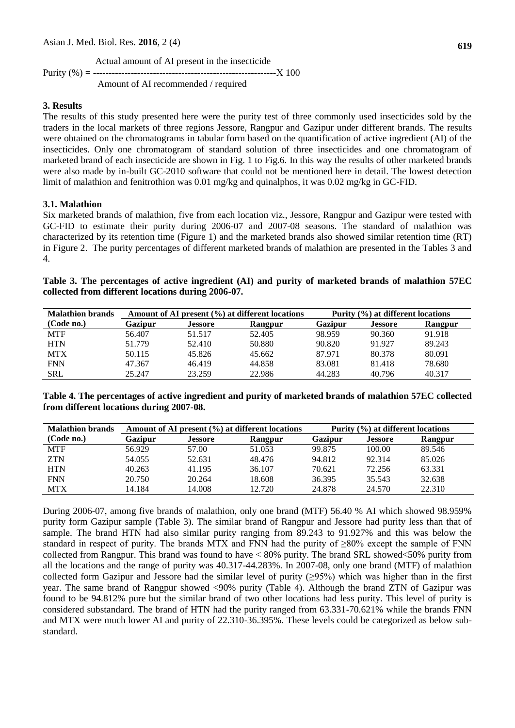**619**

 Actual amount of AI present in the insecticide Purity (%) = ---------------------------------------------------------- 100

Amount of AI recommended / required

## **3. Results**

The results of this study presented here were the purity test of three commonly used insecticides sold by the traders in the local markets of three regions Jessore, Rangpur and Gazipur under different brands. The results were obtained on the chromatograms in tabular form based on the quantification of active ingredient (AI) of the insecticides. Only one chromatogram of standard solution of three insecticides and one chromatogram of marketed brand of each insecticide are shown in Fig. 1 to Fig.6. In this way the results of other marketed brands were also made by in-built GC-2010 software that could not be mentioned here in detail. The lowest detection limit of malathion and fenitrothion was 0.01 mg/kg and quinalphos, it was 0.02 mg/kg in GC-FID.

## **3.1. Malathion**

Six marketed brands of malathion, five from each location viz., Jessore, Rangpur and Gazipur were tested with GC-FID to estimate their purity during 2006-07 and 2007-08 seasons. The standard of malathion was characterized by its retention time (Figure 1) and the marketed brands also showed similar retention time (RT) in Figure 2. The purity percentages of different marketed brands of malathion are presented in the Tables 3 and 4.

| Table 3. The percentages of active ingredient (AI) and purity of marketed brands of malathion 57EC |  |
|----------------------------------------------------------------------------------------------------|--|
| collected from different locations during 2006-07.                                                 |  |

| <b>Malathion brands</b> |         |                | Amount of AI present $(\% )$ at different locations | Purity (%) at different locations |                |         |  |  |
|-------------------------|---------|----------------|-----------------------------------------------------|-----------------------------------|----------------|---------|--|--|
| (Code no.)              | Gazipur | <b>Jessore</b> | Rangpur                                             | <b>Gazipur</b>                    | <b>Jessore</b> | Rangpur |  |  |
| <b>MTF</b>              | 56.407  | 51.517         | 52.405                                              | 98.959                            | 90.360         | 91.918  |  |  |
| <b>HTN</b>              | 51.779  | 52.410         | 50.880                                              | 90.820                            | 91.927         | 89.243  |  |  |
| <b>MTX</b>              | 50.115  | 45.826         | 45.662                                              | 87.971                            | 80.378         | 80.091  |  |  |
| <b>FNN</b>              | 47.367  | 46.419         | 44.858                                              | 83.081                            | 81.418         | 78.680  |  |  |
| <b>SRL</b>              | 25.247  | 23.259         | 22.986                                              | 44.283                            | 40.796         | 40.317  |  |  |

**Table 4. The percentages of active ingredient and purity of marketed brands of malathion 57EC collected from different locations during 2007-08.**

| <b>Malathion brands</b> |         |                | Amount of AI present $(\% )$ at different locations | Purity $(\% )$ at different locations |                |         |  |
|-------------------------|---------|----------------|-----------------------------------------------------|---------------------------------------|----------------|---------|--|
| (Code no.)              | Gazipur | <b>Jessore</b> | Rangpur                                             | <b>Gazipur</b>                        | <b>Jessore</b> | Rangpur |  |
| <b>MTF</b>              | 56.929  | 57.00          | 51.053                                              | 99.875                                | 100.00         | 89.546  |  |
| <b>ZTN</b>              | 54.055  | 52.631         | 48.476                                              | 94.812                                | 92.314         | 85.026  |  |
| <b>HTN</b>              | 40.263  | 41.195         | 36.107                                              | 70.621                                | 72.256         | 63.331  |  |
| <b>FNN</b>              | 20.750  | 20.264         | 18.608                                              | 36.395                                | 35.543         | 32.638  |  |
| <b>MTX</b>              | 14.184  | 14.008         | 12.720                                              | 24.878                                | 24.570         | 22.310  |  |

During 2006-07, among five brands of malathion, only one brand (MTF) 56.40 % AI which showed 98.959% purity form Gazipur sample (Table 3). The similar brand of Rangpur and Jessore had purity less than that of sample. The brand HTN had also similar purity ranging from 89.243 to 91.927% and this was below the standard in respect of purity. The brands MTX and FNN had the purity of  $\geq 80\%$  except the sample of FNN collected from Rangpur. This brand was found to have < 80% purity. The brand SRL showed<50% purity from all the locations and the range of purity was 40.317-44.283%. In 2007-08, only one brand (MTF) of malathion collected form Gazipur and Jessore had the similar level of purity  $(\geq)5\%$ ) which was higher than in the first year. The same brand of Rangpur showed <90% purity (Table 4). Although the brand ZTN of Gazipur was found to be 94.812% pure but the similar brand of two other locations had less purity. This level of purity is considered substandard. The brand of HTN had the purity ranged from 63.331-70.621% while the brands FNN and MTX were much lower AI and purity of 22.310-36.395%. These levels could be categorized as below substandard.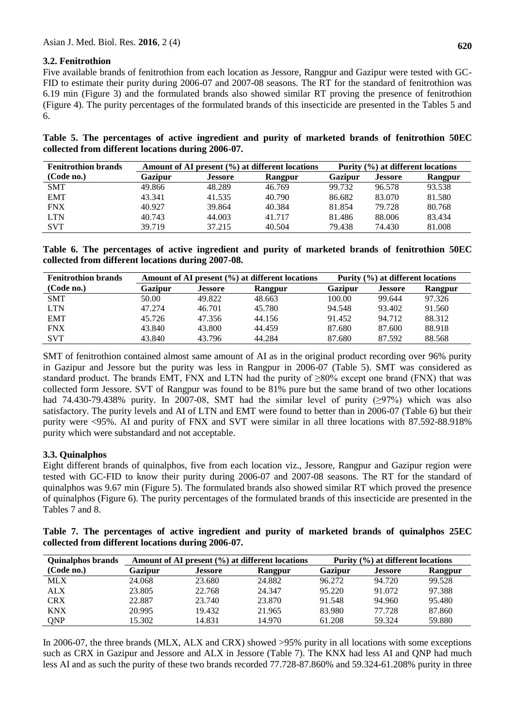## **3.2. Fenitrothion**

Five available brands of fenitrothion from each location as Jessore, Rangpur and Gazipur were tested with GC-FID to estimate their purity during 2006-07 and 2007-08 seasons. The RT for the standard of fenitrothion was 6.19 min (Figure 3) and the formulated brands also showed similar RT proving the presence of fenitrothion (Figure 4). The purity percentages of the formulated brands of this insecticide are presented in the Tables 5 and 6.

|  |  |  |                                                    |  |  |  | Table 5. The percentages of active ingredient and purity of marketed brands of fenitrothion 50EC |  |
|--|--|--|----------------------------------------------------|--|--|--|--------------------------------------------------------------------------------------------------|--|
|  |  |  | collected from different locations during 2006-07. |  |  |  |                                                                                                  |  |

| <b>Fenitrothion brands</b> |         |                | Amount of AI present $(\% )$ at different locations | Purity (%) at different locations |                |         |  |  |
|----------------------------|---------|----------------|-----------------------------------------------------|-----------------------------------|----------------|---------|--|--|
| (Code no.)                 | Gazipur | <b>Jessore</b> | Rangpur                                             | Gazipur                           | <b>Jessore</b> | Rangpur |  |  |
| <b>SMT</b>                 | 49.866  | 48.289         | 46.769                                              | 99.732                            | 96.578         | 93.538  |  |  |
| <b>EMT</b>                 | 43.341  | 41.535         | 40.790                                              | 86.682                            | 83.070         | 81.580  |  |  |
| <b>FNX</b>                 | 40.927  | 39.864         | 40.384                                              | 81.854                            | 79.728         | 80.768  |  |  |
| <b>LTN</b>                 | 40.743  | 44,003         | 41.717                                              | 81.486                            | 88,006         | 83.434  |  |  |
| <b>SVT</b>                 | 39.719  | 37.215         | 40.504                                              | 79.438                            | 74.430         | 81.008  |  |  |

**Table 6. The percentages of active ingredient and purity of marketed brands of fenitrothion 50EC collected from different locations during 2007-08.**

| <b>Fenitrothion brands</b> |         |                | Amount of AI present (%) at different locations | Purity (%) at different locations |                |         |  |  |
|----------------------------|---------|----------------|-------------------------------------------------|-----------------------------------|----------------|---------|--|--|
| (Code no.)                 | Gazipur | <b>Jessore</b> | Rangpur                                         | Gazipur                           | <b>Jessore</b> | Rangpur |  |  |
| <b>SMT</b>                 | 50.00   | 49.822         | 48.663                                          | 100.00                            | 99.644         | 97.326  |  |  |
| <b>LTN</b>                 | 47.274  | 46.701         | 45.780                                          | 94.548                            | 93.402         | 91.560  |  |  |
| <b>EMT</b>                 | 45.726  | 47.356         | 44.156                                          | 91.452                            | 94.712         | 88.312  |  |  |
| <b>FNX</b>                 | 43.840  | 43.800         | 44.459                                          | 87.680                            | 87.600         | 88.918  |  |  |
| <b>SVT</b>                 | 43.840  | 43.796         | 44.284                                          | 87.680                            | 87.592         | 88.568  |  |  |

SMT of fenitrothion contained almost same amount of AI as in the original product recording over 96% purity in Gazipur and Jessore but the purity was less in Rangpur in 2006-07 (Table 5). SMT was considered as standard product. The brands EMT, FNX and LTN had the purity of ≥80% except one brand (FNX) that was collected form Jessore. SVT of Rangpur was found to be 81% pure but the same brand of two other locations had 74.430-79.438% purity. In 2007-08, SMT had the similar level of purity  $(297%)$  which was also satisfactory. The purity levels and AI of LTN and EMT were found to better than in 2006-07 (Table 6) but their purity were <95%. AI and purity of FNX and SVT were similar in all three locations with 87.592-88.918% purity which were substandard and not acceptable.

## **3.3. Quinalphos**

Eight different brands of quinalphos, five from each location viz., Jessore, Rangpur and Gazipur region were tested with GC-FID to know their purity during 2006-07 and 2007-08 seasons. The RT for the standard of quinalphos was 9.67 min (Figure 5). The formulated brands also showed similar RT which proved the presence of quinalphos (Figure 6). The purity percentages of the formulated brands of this insecticide are presented in the Tables 7 and 8.

**Table 7. The percentages of active ingredient and purity of marketed brands of quinalphos 25EC collected from different locations during 2006-07.**

| <b>Quinalphos brands</b> |         |                | Amount of AI present $(\% )$ at different locations | Purity (%) at different locations |                |         |  |  |
|--------------------------|---------|----------------|-----------------------------------------------------|-----------------------------------|----------------|---------|--|--|
| (Code no.)               | Gazipur | <b>Jessore</b> | Rangpur                                             | Gazipur                           | <b>Jessore</b> | Rangpur |  |  |
| <b>MLX</b>               | 24.068  | 23.680         | 24.882                                              | 96.272                            | 94.720         | 99.528  |  |  |
| <b>ALX</b>               | 23.805  | 22.768         | 24.347                                              | 95.220                            | 91.072         | 97.388  |  |  |
| <b>CRX</b>               | 22.887  | 23.740         | 23.870                                              | 91.548                            | 94.960         | 95.480  |  |  |
| <b>KNX</b>               | 20.995  | 19.432         | 21.965                                              | 83.980                            | 77.728         | 87.860  |  |  |
| ONP                      | 15.302  | 14.831         | 14.970                                              | 61.208                            | 59.324         | 59.880  |  |  |

In 2006-07, the three brands (MLX, ALX and CRX) showed >95% purity in all locations with some exceptions such as CRX in Gazipur and Jessore and ALX in Jessore (Table 7). The KNX had less AI and QNP had much less AI and as such the purity of these two brands recorded 77.728-87.860% and 59.324-61.208% purity in three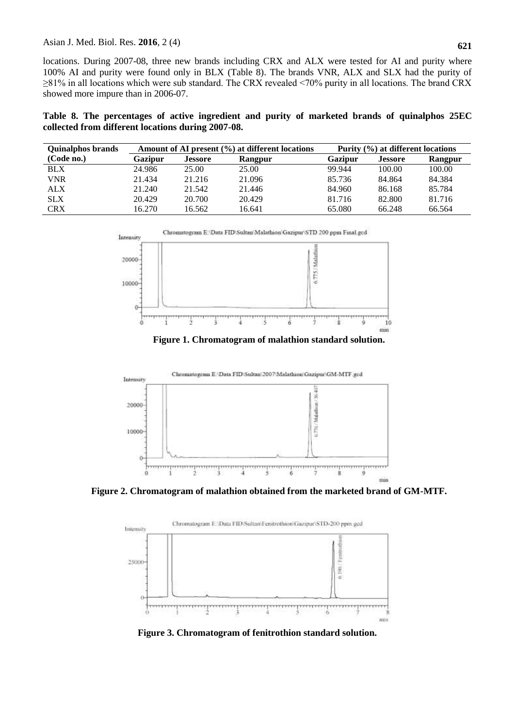### Asian J. Med. Biol. Res. **2016**, 2 (4)

locations. During 2007-08, three new brands including CRX and ALX were tested for AI and purity where 100% AI and purity were found only in BLX (Table 8). The brands VNR, ALX and SLX had the purity of ≥81% in all locations which were sub standard. The CRX revealed <70% purity in all locations. The brand CRX showed more impure than in 2006-07.

**Table 8. The percentages of active ingredient and purity of marketed brands of quinalphos 25EC collected from different locations during 2007-08.**

| <b>Quinalphos brands</b> |         |                | Amount of AI present $(\% )$ at different locations | Purity $(\% )$ at different locations |                |         |  |  |
|--------------------------|---------|----------------|-----------------------------------------------------|---------------------------------------|----------------|---------|--|--|
| (Code no.)               | Gazipur | <b>Jessore</b> | Rangpur                                             | Gazipur                               | <b>Jessore</b> | Rangpur |  |  |
| <b>BLX</b>               | 24.986  | 25.00          | 25.00                                               | 99.944                                | 100.00         | 100.00  |  |  |
| VNR                      | 21.434  | 21.216         | 21.096                                              | 85.736                                | 84.864         | 84.384  |  |  |
| <b>ALX</b>               | 21.240  | 21.542         | 21.446                                              | 84.960                                | 86.168         | 85.784  |  |  |
| <b>SLX</b>               | 20.429  | 20.700         | 20.429                                              | 81.716                                | 82.800         | 81.716  |  |  |
| <b>CRX</b>               | 16.270  | 16.562         | 16.641                                              | 65.080                                | 66.248         | 66.564  |  |  |



**Figure 1. Chromatogram of malathion standard solution.**



**Figure 2. Chromatogram of malathion obtained from the marketed brand of GM-MTF.**



**Figure 3. Chromatogram of fenitrothion standard solution.**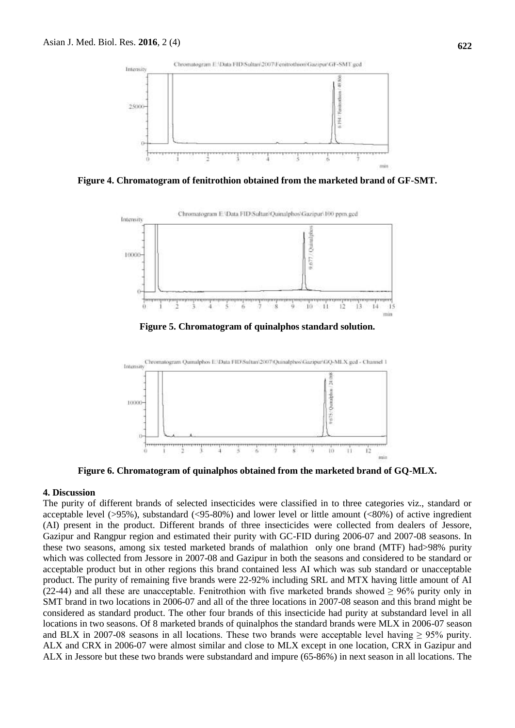

**Figure 4. Chromatogram of fenitrothion obtained from the marketed brand of GF-SMT.**



**Figure 5. Chromatogram of quinalphos standard solution.**



**Figure 6. Chromatogram of quinalphos obtained from the marketed brand of GQ-MLX.**

#### **4. Discussion**

The purity of different brands of selected insecticides were classified in to three categories viz., standard or acceptable level (>95%), substandard (<95-80%) and lower level or little amount (<80%) of active ingredient (AI) present in the product. Different brands of three insecticides were collected from dealers of Jessore, Gazipur and Rangpur region and estimated their purity with GC-FID during 2006-07 and 2007-08 seasons. In these two seasons, among six tested marketed brands of malathion only one brand (MTF) had>98% purity which was collected from Jessore in 2007-08 and Gazipur in both the seasons and considered to be standard or acceptable product but in other regions this brand contained less AI which was sub standard or unacceptable product. The purity of remaining five brands were 22-92% including SRL and MTX having little amount of AI (22-44) and all these are unacceptable. Fenitrothion with five marketed brands showed  $\geq 96\%$  purity only in SMT brand in two locations in 2006-07 and all of the three locations in 2007-08 season and this brand might be considered as standard product. The other four brands of this insecticide had purity at substandard level in all locations in two seasons. Of 8 marketed brands of quinalphos the standard brands were MLX in 2006-07 season and BLX in 2007-08 seasons in all locations. These two brands were acceptable level having  $\geq$  95% purity. ALX and CRX in 2006-07 were almost similar and close to MLX except in one location, CRX in Gazipur and ALX in Jessore but these two brands were substandard and impure (65-86%) in next season in all locations. The